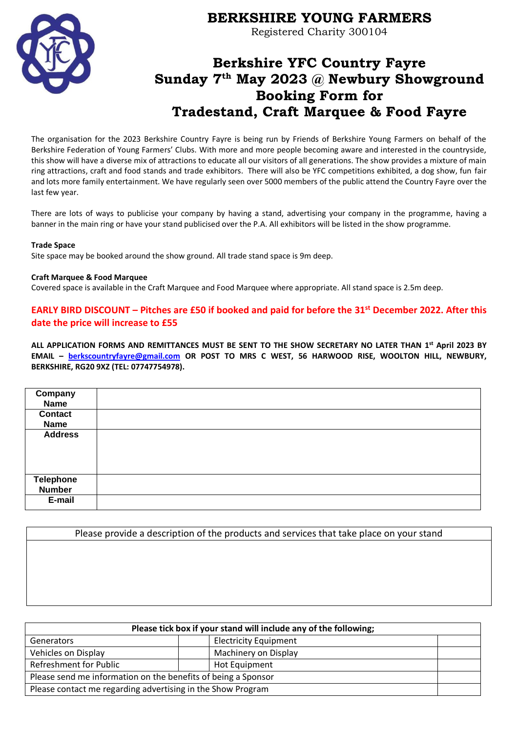

# **BERKSHIRE YOUNG FARMERS**

Registered Charity 300104

# **Berkshire YFC Country Fayre Sunday 7 th May 2023 @ Newbury Showground Booking Form for Tradestand, Craft Marquee & Food Fayre**

The organisation for the 2023 Berkshire Country Fayre is being run by Friends of Berkshire Young Farmers on behalf of the Berkshire Federation of Young Farmers' Clubs. With more and more people becoming aware and interested in the countryside, this show will have a diverse mix of attractions to educate all our visitors of all generations. The show provides a mixture of main ring attractions, craft and food stands and trade exhibitors. There will also be YFC competitions exhibited, a dog show, fun fair and lots more family entertainment. We have regularly seen over 5000 members of the public attend the Country Fayre over the last few year.

There are lots of ways to publicise your company by having a stand, advertising your company in the programme, having a banner in the main ring or have your stand publicised over the P.A. All exhibitors will be listed in the show programme.

#### **Trade Space**

Site space may be booked around the show ground. All trade stand space is 9m deep.

#### **Craft Marquee & Food Marquee**

Covered space is available in the Craft Marquee and Food Marquee where appropriate. All stand space is 2.5m deep.

# **EARLY BIRD DISCOUNT – Pitches are £50 if booked and paid for before the 31st December 2022. After this date the price will increase to £55**

**ALL APPLICATION FORMS AND REMITTANCES MUST BE SENT TO THE SHOW SECRETARY NO LATER THAN 1 st April 2023 BY EMAIL – [berkscountryfayre@gmail.com](mailto:berkscountryfayre@gmail.com) OR POST TO MRS C WEST, 56 HARWOOD RISE, WOOLTON HILL, NEWBURY, BERKSHIRE, RG20 9XZ (TEL: 07747754978).** 

| Company<br><b>Name</b>            |  |
|-----------------------------------|--|
| <b>Contact</b><br><b>Name</b>     |  |
| <b>Address</b>                    |  |
| <b>Telephone</b><br><b>Number</b> |  |
| E-mail                            |  |

Please provide a description of the products and services that take place on your stand

| Please tick box if your stand will include any of the following; |                              |  |  |
|------------------------------------------------------------------|------------------------------|--|--|
| <b>Generators</b>                                                | <b>Electricity Equipment</b> |  |  |
| Vehicles on Display                                              | Machinery on Display         |  |  |
| Refreshment for Public                                           | Hot Equipment                |  |  |
| Please send me information on the benefits of being a Sponsor    |                              |  |  |
| Please contact me regarding advertising in the Show Program      |                              |  |  |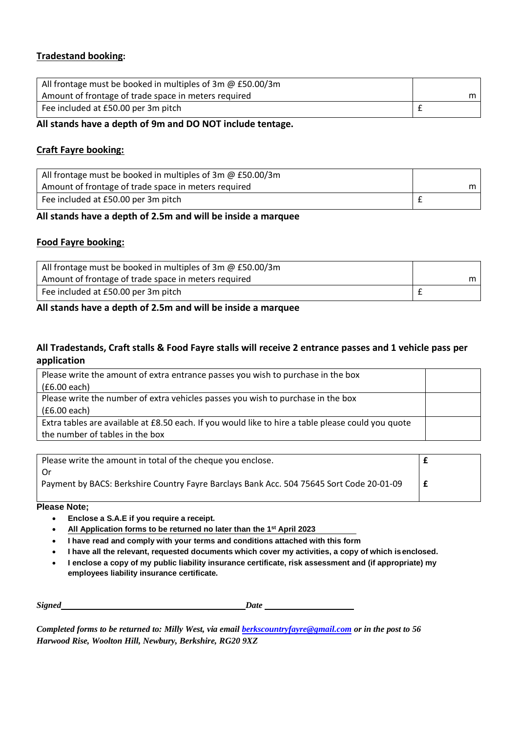# **Tradestand booking:**

| All frontage must be booked in multiples of 3m $\omega$ £50.00/3m |     |
|-------------------------------------------------------------------|-----|
| Amount of frontage of trade space in meters required              | m I |
| Fee included at £50.00 per 3m pitch                               |     |

### **All stands have a depth of 9m and DO NOT include tentage.**

# **Craft Fayre booking:**

| All frontage must be booked in multiples of 3m @ £50.00/3m |  |
|------------------------------------------------------------|--|
| Amount of frontage of trade space in meters required       |  |
| Fee included at £50.00 per 3m pitch                        |  |

# **All stands have a depth of 2.5m and will be inside a marquee**

## **Food Fayre booking:**

| All frontage must be booked in multiples of 3m $\omega$ £50.00/3m |  |
|-------------------------------------------------------------------|--|
| Amount of frontage of trade space in meters required              |  |
| Fee included at £50.00 per 3m pitch                               |  |

### **All stands have a depth of 2.5m and will be inside a marquee**

# **All Tradestands, Craft stalls & Food Fayre stalls will receive 2 entrance passes and 1 vehicle pass per application**

| Please write the amount of extra entrance passes you wish to purchase in the box                   |  |
|----------------------------------------------------------------------------------------------------|--|
| (£6.00 each)                                                                                       |  |
| Please write the number of extra vehicles passes you wish to purchase in the box                   |  |
| (£6.00 each)                                                                                       |  |
| Extra tables are available at £8.50 each. If you would like to hire a table please could you quote |  |
| the number of tables in the box                                                                    |  |

| Please write the amount in total of the cheque you enclose.                              |  |
|------------------------------------------------------------------------------------------|--|
| . Or                                                                                     |  |
| Payment by BACS: Berkshire Country Fayre Barclays Bank Acc. 504 75645 Sort Code 20-01-09 |  |
|                                                                                          |  |

#### **Please Note;**

- **Enclose a S.A.E if you require a receipt.**
- **All Application forms to be returned no later than the 1 st April 2023**
- **I have read and comply with your terms and conditions attached with this form**
- **I have all the relevant, requested documents which cover my activities, a copy of which isenclosed.**
- **I enclose a copy of my public liability insurance certificate, risk assessment and (if appropriate) my employees liability insurance certificate.**

| <b>Signed</b><br>Date |  |
|-----------------------|--|
|-----------------------|--|

*Completed forms to be returned to: Milly West, via email [berkscountryfayre@gmail.com](mailto:berkscountryfayre@gmail.com) or in the post to 56 Harwood Rise, Woolton Hill, Newbury, Berkshire, RG20 9XZ*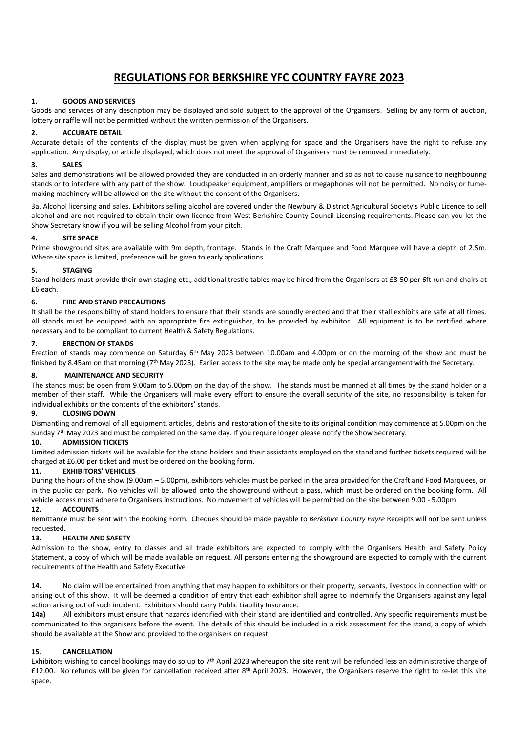# **REGULATIONS FOR BERKSHIRE YFC COUNTRY FAYRE 2023**

#### **1. GOODS AND SERVICES**

Goods and services of any description may be displayed and sold subject to the approval of the Organisers. Selling by any form of auction, lottery or raffle will not be permitted without the written permission of the Organisers.

#### **2. ACCURATE DETAIL**

Accurate details of the contents of the display must be given when applying for space and the Organisers have the right to refuse any application. Any display, or article displayed, which does not meet the approval of Organisers must be removed immediately.

#### **3. SALES**

Sales and demonstrations will be allowed provided they are conducted in an orderly manner and so as not to cause nuisance to neighbouring stands or to interfere with any part of the show. Loudspeaker equipment, amplifiers or megaphones will not be permitted. No noisy or fumemaking machinery will be allowed on the site without the consent of the Organisers.

3a. Alcohol licensing and sales. Exhibitors selling alcohol are covered under the Newbury & District Agricultural Society's Public Licence to sell alcohol and are not required to obtain their own licence from West Berkshire County Council Licensing requirements. Please can you let the Show Secretary know if you will be selling Alcohol from your pitch.

#### **4. SITE SPACE**

Prime showground sites are available with 9m depth, frontage. Stands in the Craft Marquee and Food Marquee will have a depth of 2.5m. Where site space is limited, preference will be given to early applications.

#### **5. STAGING**

Stand holders must provide their own staging etc., additional trestle tables may be hired from the Organisers at £8-50 per 6ft run and chairs at £6 each.

#### **6. FIRE AND STAND PRECAUTIONS**

It shall be the responsibility of stand holders to ensure that their stands are soundly erected and that their stall exhibits are safe at all times. All stands must be equipped with an appropriate fire extinguisher, to be provided by exhibitor. All equipment is to be certified where necessary and to be compliant to current Health & Safety Regulations.

#### **7. ERECTION OF STANDS**

Erection of stands may commence on Saturday  $6<sup>th</sup>$  May 2023 between 10.00am and 4.00pm or on the morning of the show and must be finished by 8.45am on that morning ( $7<sup>th</sup>$  May 2023). Earlier access to the site may be made only be special arrangement with the Secretary.

#### **8. MAINTENANCE AND SECURITY**

The stands must be open from 9.00am to 5.00pm on the day of the show. The stands must be manned at all times by the stand holder or a member of their staff. While the Organisers will make every effort to ensure the overall security of the site, no responsibility is taken for individual exhibits or the contents of the exhibitors' stands.

#### **9. CLOSING DOWN**

Dismantling and removal of all equipment, articles, debris and restoration of the site to its original condition may commence at 5.00pm on the Sunday 7<sup>th</sup> May 2023 and must be completed on the same day. If you require longer please notify the Show Secretary.

#### **10. ADMISSION TICKETS**

Limited admission tickets will be available for the stand holders and their assistants employed on the stand and further tickets required will be charged at £6.00 per ticket and must be ordered on the booking form.

#### **11. EXHIBITORS' VEHICLES**

During the hours of the show (9.00am – 5.00pm), exhibitors vehicles must be parked in the area provided for the Craft and Food Marquees, or in the public car park. No vehicles will be allowed onto the showground without a pass, which must be ordered on the booking form. All vehicle access must adhere to Organisers instructions. No movement of vehicles will be permitted on the site between 9.00 - 5.00pm

#### **12. ACCOUNTS**

Remittance must be sent with the Booking Form. Cheques should be made payable to *Berkshire Country Fayre* Receipts will not be sent unless requested.

#### **13. HEALTH AND SAFETY**

Admission to the show, entry to classes and all trade exhibitors are expected to comply with the Organisers Health and Safety Policy Statement, a copy of which will be made available on request. All persons entering the showground are expected to comply with the current requirements of the Health and Safety Executive

**14.** No claim will be entertained from anything that may happen to exhibitors or their property, servants, livestock in connection with or arising out of this show. It will be deemed a condition of entry that each exhibitor shall agree to indemnify the Organisers against any legal action arising out of such incident. Exhibitors should carry Public Liability Insurance.

**14a)** All exhibitors must ensure that hazards identified with their stand are identified and controlled. Any specific requirements must be communicated to the organisers before the event. The details of this should be included in a risk assessment for the stand, a copy of which should be available at the Show and provided to the organisers on request.

#### **15**. **CANCELLATION**

Exhibitors wishing to cancel bookings may do so up to 7<sup>th</sup> April 2023 whereupon the site rent will be refunded less an administrative charge of £12.00. No refunds will be given for cancellation received after 8<sup>th</sup> April 2023. However, the Organisers reserve the right to re-let this site space.